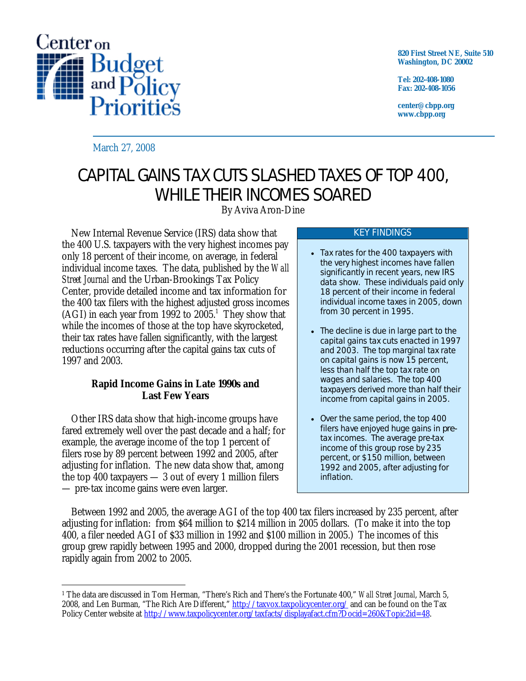

**820 First Street NE, Suite 510 Washington, DC 20002** 

**Tel: 202-408-1080 Fax: 202-408-1056** 

**center@cbpp.org www.cbpp.org** 

March 27, 2008

# CAPITAL GAINS TAX CUTS SLASHED TAXES OF TOP 400, WHILE THEIR INCOMES SOARED

By Aviva Aron-Dine

 New Internal Revenue Service (IRS) data show that the 400 U.S. taxpayers with the very highest incomes pay only 18 percent of their income, on average, in federal individual income taxes. The data, published by the *Wall Street Journal* and the Urban-Brookings Tax Policy Center, provide detailed income and tax information for the 400 tax filers with the highest adjusted gross incomes  $(AGI)$  in each year from 1992 to 2005.<sup>1</sup> They show that while the incomes of those at the top have skyrocketed, their tax rates have fallen significantly, with the largest reductions occurring after the capital gains tax cuts of 1997 and 2003.

### **Rapid Income Gains in Late 1990s and Last Few Years**

Other IRS data show that high-income groups have fared extremely well over the past decade and a half; for example, the average income of the top 1 percent of filers rose by 89 percent between 1992 and 2005, after adjusting for inflation. The new data show that, among the top 400 taxpayers — 3 out of every 1 million filers — pre-tax income gains were even larger.

#### KEY FINDINGS

- Tax rates for the 400 taxpayers with the very highest incomes have fallen significantly in recent years, new IRS data show. These individuals paid only 18 percent of their income in federal individual income taxes in 2005, down from 30 percent in 1995.
- The decline is due in large part to the capital gains tax cuts enacted in 1997 and 2003. The top marginal tax rate on capital gains is now 15 percent, less than half the top tax rate on wages and salaries. The top 400 taxpayers derived more than half their income from capital gains in 2005.
- Over the same period, the top 400 filers have enjoyed huge gains in *pre*tax incomes. The average pre-tax income of this group rose by 235 percent, or \$150 million, between 1992 and 2005, after adjusting for inflation.

 Between 1992 and 2005, the average AGI of the top 400 tax filers increased by 235 percent, after adjusting for inflation: from \$64 million to \$214 million in 2005 dollars. (To make it into the top 400, a filer needed AGI of \$33 million in 1992 and \$100 million in 2005.) The incomes of this group grew rapidly between 1995 and 2000, dropped during the 2001 recession, but then rose rapidly again from 2002 to 2005.

 $\overline{a}$ 1 The data are discussed in Tom Herman, "There's Rich and There's the Fortunate 400," *Wall Street Journal*, March 5, 2008, and Len Burman, "The Rich Are Different," http://taxvox.taxpolicycenter.org/ and can be found on the Tax Policy Center website at http://www.taxpolicycenter.org/taxfacts/displayafact.cfm?Docid=260&Topic2id=48.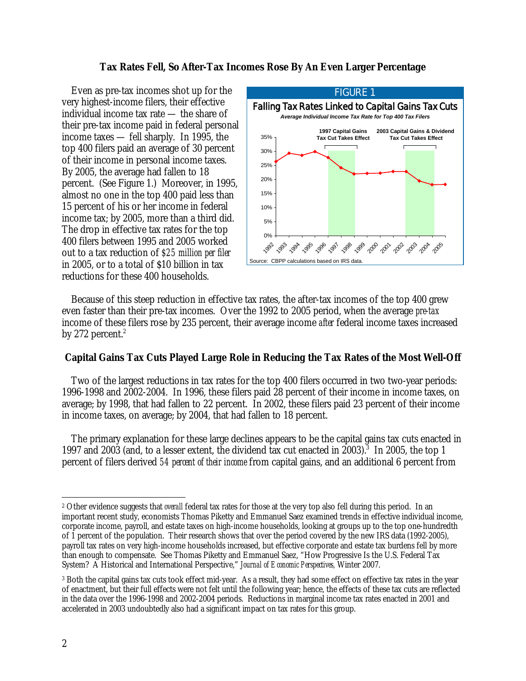#### **Tax Rates Fell, So After-Tax Incomes Rose By An Even Larger Percentage**

 Even as pre-tax incomes shot up for the very highest-income filers, their effective individual income tax rate — the share of their pre-tax income paid in federal personal income taxes — fell sharply. In 1995, the top 400 filers paid an average of 30 percent of their income in personal income taxes. By 2005, the average had fallen to 18 percent. (See Figure 1.) Moreover, in 1995, almost no one in the top 400 paid less than 15 percent of his or her income in federal income tax; by 2005, more than a third did. The drop in effective tax rates for the top 400 filers between 1995 and 2005 worked out to a tax reduction of *\$25 million per filer* in 2005, or to a total of \$10 billion in tax reductions for these 400 households.



 Because of this steep reduction in effective tax rates, the after-tax incomes of the top 400 grew even faster than their pre-tax incomes. Over the 1992 to 2005 period, when the average *pre-tax* income of these filers rose by 235 percent, their average income *after* federal income taxes increased by 272 percent. $2$ 

## **Capital Gains Tax Cuts Played Large Role in Reducing the Tax Rates of the Most Well-Off**

Two of the largest reductions in tax rates for the top 400 filers occurred in two two-year periods: 1996-1998 and 2002-2004. In 1996, these filers paid 28 percent of their income in income taxes, on average; by 1998, that had fallen to 22 percent. In 2002, these filers paid 23 percent of their income in income taxes, on average; by 2004, that had fallen to 18 percent.

 The primary explanation for these large declines appears to be the capital gains tax cuts enacted in 1997 and 2003 (and, to a lesser extent, the dividend tax cut enacted in 2003).<sup>3</sup> In 2005, the top 1 percent of filers derived *54 percent of their income* from capital gains, and an additional 6 percent from

 $\overline{a}$ 2 Other evidence suggests that *overall* federal tax rates for those at the very top also fell during this period. In an important recent study, economists Thomas Piketty and Emmanuel Saez examined trends in effective individual income, corporate income, payroll, and estate taxes on high-income households, looking at groups up to the top one-hundredth of 1 percent of the population. Their research shows that over the period covered by the new IRS data (1992-2005), payroll tax rates on very high-income households increased, but effective corporate and estate tax burdens fell by more than enough to compensate. See Thomas Piketty and Emmanuel Saez, "How Progressive Is the U.S. Federal Tax System? A Historical and International Perspective," *Journal of Economic Perspectives,* Winter 2007.

<sup>3</sup> Both the capital gains tax cuts took effect mid-year. As a result, they had some effect on effective tax rates in the year of enactment, but their full effects were not felt until the following year; hence, the effects of these tax cuts are reflected in the data over the 1996-1998 and 2002-2004 periods. Reductions in marginal income tax rates enacted in 2001 and accelerated in 2003 undoubtedly also had a significant impact on tax rates for this group.